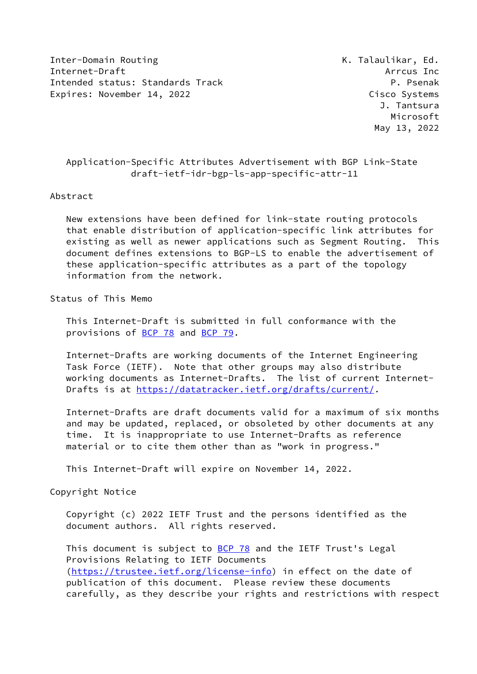Inter-Domain Routing The Communication of the K. Talaulikar, Ed. Internet-Draft Arrcus Inc Intended status: Standards Track P. Psenak Expires: November 14, 2022 Cisco Systems

 J. Tantsura Microsoft May 13, 2022

# Application-Specific Attributes Advertisement with BGP Link-State draft-ietf-idr-bgp-ls-app-specific-attr-11

### Abstract

 New extensions have been defined for link-state routing protocols that enable distribution of application-specific link attributes for existing as well as newer applications such as Segment Routing. This document defines extensions to BGP-LS to enable the advertisement of these application-specific attributes as a part of the topology information from the network.

# Status of This Memo

 This Internet-Draft is submitted in full conformance with the provisions of [BCP 78](https://datatracker.ietf.org/doc/pdf/bcp78) and [BCP 79](https://datatracker.ietf.org/doc/pdf/bcp79).

 Internet-Drafts are working documents of the Internet Engineering Task Force (IETF). Note that other groups may also distribute working documents as Internet-Drafts. The list of current Internet- Drafts is at<https://datatracker.ietf.org/drafts/current/>.

 Internet-Drafts are draft documents valid for a maximum of six months and may be updated, replaced, or obsoleted by other documents at any time. It is inappropriate to use Internet-Drafts as reference material or to cite them other than as "work in progress."

This Internet-Draft will expire on November 14, 2022.

#### Copyright Notice

 Copyright (c) 2022 IETF Trust and the persons identified as the document authors. All rights reserved.

This document is subject to **[BCP 78](https://datatracker.ietf.org/doc/pdf/bcp78)** and the IETF Trust's Legal Provisions Relating to IETF Documents [\(https://trustee.ietf.org/license-info](https://trustee.ietf.org/license-info)) in effect on the date of publication of this document. Please review these documents carefully, as they describe your rights and restrictions with respect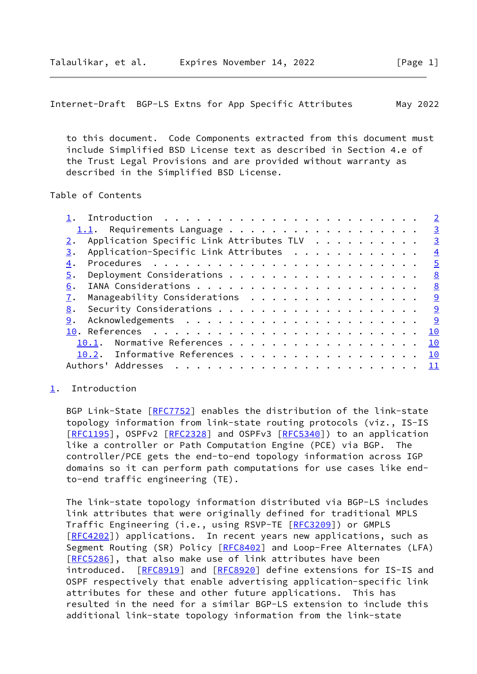<span id="page-1-1"></span> to this document. Code Components extracted from this document must include Simplified BSD License text as described in Section 4.e of the Trust Legal Provisions and are provided without warranty as described in the Simplified BSD License.

## Table of Contents

|                                                | $\overline{2}$          |
|------------------------------------------------|-------------------------|
|                                                | $\overline{\mathbf{3}}$ |
| Application Specific Link Attributes TLV<br>2. | $\overline{\mathbf{3}}$ |
| Application-Specific Link Attributes<br>3.     | $\overline{4}$          |
| 4.                                             | $\overline{5}$          |
| 5.                                             | 8                       |
| 6.                                             | 8                       |
| Manageability Considerations<br>7.             | <u>୍ର</u>               |
| 8.                                             | <u>9</u>                |
| 9.                                             | <u>g</u>                |
|                                                | <u> 10</u>              |
| Normative References<br>10.1.                  | 10                      |
| 10.2. Informative References                   | 10                      |
| Authors' Addresses                             | 11                      |
|                                                |                         |

### <span id="page-1-0"></span>[1](#page-1-0). Introduction

 BGP Link-State [\[RFC7752](https://datatracker.ietf.org/doc/pdf/rfc7752)] enables the distribution of the link-state topology information from link-state routing protocols (viz., IS-IS [\[RFC1195](https://datatracker.ietf.org/doc/pdf/rfc1195)], OSPFv2 [[RFC2328](https://datatracker.ietf.org/doc/pdf/rfc2328)] and OSPFv3 [\[RFC5340](https://datatracker.ietf.org/doc/pdf/rfc5340)]) to an application like a controller or Path Computation Engine (PCE) via BGP. The controller/PCE gets the end-to-end topology information across IGP domains so it can perform path computations for use cases like end to-end traffic engineering (TE).

 The link-state topology information distributed via BGP-LS includes link attributes that were originally defined for traditional MPLS Traffic Engineering (i.e., using RSVP-TE [\[RFC3209](https://datatracker.ietf.org/doc/pdf/rfc3209)]) or GMPLS [\[RFC4202](https://datatracker.ietf.org/doc/pdf/rfc4202)]) applications. In recent years new applications, such as Segment Routing (SR) Policy [\[RFC8402](https://datatracker.ietf.org/doc/pdf/rfc8402)] and Loop-Free Alternates (LFA) [\[RFC5286](https://datatracker.ietf.org/doc/pdf/rfc5286)], that also make use of link attributes have been introduced. [\[RFC8919](https://datatracker.ietf.org/doc/pdf/rfc8919)] and [[RFC8920\]](https://datatracker.ietf.org/doc/pdf/rfc8920) define extensions for IS-IS and OSPF respectively that enable advertising application-specific link attributes for these and other future applications. This has resulted in the need for a similar BGP-LS extension to include this additional link-state topology information from the link-state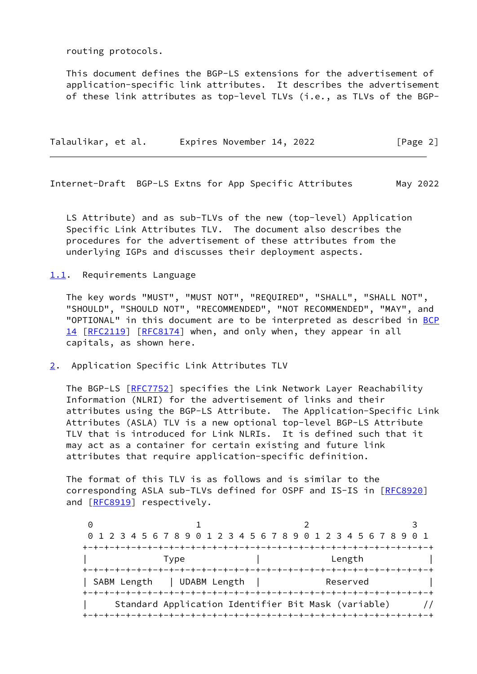routing protocols.

 This document defines the BGP-LS extensions for the advertisement of application-specific link attributes. It describes the advertisement of these link attributes as top-level TLVs (i.e., as TLVs of the BGP-

| Talaulikar, et al. | Expires November 14, 2022 | [Page 2] |
|--------------------|---------------------------|----------|
|                    |                           |          |

<span id="page-2-1"></span>Internet-Draft BGP-LS Extns for App Specific Attributes May 2022

 LS Attribute) and as sub-TLVs of the new (top-level) Application Specific Link Attributes TLV. The document also describes the procedures for the advertisement of these attributes from the underlying IGPs and discusses their deployment aspects.

<span id="page-2-0"></span>[1.1](#page-2-0). Requirements Language

 The key words "MUST", "MUST NOT", "REQUIRED", "SHALL", "SHALL NOT", "SHOULD", "SHOULD NOT", "RECOMMENDED", "NOT RECOMMENDED", "MAY", and "OPTIONAL" in this document are to be interpreted as described in [BCP](https://datatracker.ietf.org/doc/pdf/bcp14) [14](https://datatracker.ietf.org/doc/pdf/bcp14) [[RFC2119\]](https://datatracker.ietf.org/doc/pdf/rfc2119) [\[RFC8174](https://datatracker.ietf.org/doc/pdf/rfc8174)] when, and only when, they appear in all capitals, as shown here.

<span id="page-2-2"></span>[2](#page-2-2). Application Specific Link Attributes TLV

 The BGP-LS [[RFC7752\]](https://datatracker.ietf.org/doc/pdf/rfc7752) specifies the Link Network Layer Reachability Information (NLRI) for the advertisement of links and their attributes using the BGP-LS Attribute. The Application-Specific Link Attributes (ASLA) TLV is a new optional top-level BGP-LS Attribute TLV that is introduced for Link NLRIs. It is defined such that it may act as a container for certain existing and future link attributes that require application-specific definition.

 The format of this TLV is as follows and is similar to the corresponding ASLA sub-TLVs defined for OSPF and IS-IS in [[RFC8920](https://datatracker.ietf.org/doc/pdf/rfc8920)] and [\[RFC8919](https://datatracker.ietf.org/doc/pdf/rfc8919)] respectively.

0 1 2 3 0 1 2 3 4 5 6 7 8 9 0 1 2 3 4 5 6 7 8 9 0 1 2 3 4 5 6 7 8 9 0 1 +-+-+-+-+-+-+-+-+-+-+-+-+-+-+-+-+-+-+-+-+-+-+-+-+-+-+-+-+-+-+-+-+ | Type | Length | +-+-+-+-+-+-+-+-+-+-+-+-+-+-+-+-+-+-+-+-+-+-+-+-+-+-+-+-+-+-+-+-+ | SABM Length | UDABM Length | Reserved | +-+-+-+-+-+-+-+-+-+-+-+-+-+-+-+-+-+-+-+-+-+-+-+-+-+-+-+-+-+-+-+-+ | Standard Application Identifier Bit Mask (variable) // +-+-+-+-+-+-+-+-+-+-+-+-+-+-+-+-+-+-+-+-+-+-+-+-+-+-+-+-+-+-+-+-+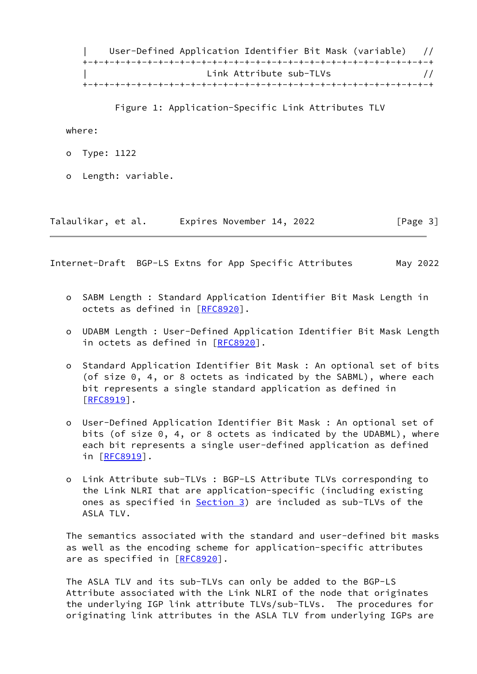| User-Defined Application Identifier Bit Mask (variable) // +-+-+-+-+-+-+-+-+-+-+-+-+-+-+-+-+-+-+-+-+-+-+-+-+-+-+-+-+-+-+-+-+ Link Attribute sub-TLVs  $\frac{1}{1}$ +-+-+-+-+-+-+-+-+-+-+-+-+-+-+-+-+-+-+-+-+-+-+-+-+-+-+-+-+-+-+-+-+

Figure 1: Application-Specific Link Attributes TLV

where:

- o Type: 1122
- o Length: variable.

| Talaulikar, et al. | Expires November 14, 2022 | [Page 3] |
|--------------------|---------------------------|----------|
|--------------------|---------------------------|----------|

<span id="page-3-0"></span>Internet-Draft BGP-LS Extns for App Specific Attributes May 2022

- o SABM Length : Standard Application Identifier Bit Mask Length in octets as defined in [\[RFC8920](https://datatracker.ietf.org/doc/pdf/rfc8920)].
- o UDABM Length : User-Defined Application Identifier Bit Mask Length in octets as defined in [[RFC8920\]](https://datatracker.ietf.org/doc/pdf/rfc8920).
- o Standard Application Identifier Bit Mask : An optional set of bits (of size 0, 4, or 8 octets as indicated by the SABML), where each bit represents a single standard application as defined in [[RFC8919\]](https://datatracker.ietf.org/doc/pdf/rfc8919).
- o User-Defined Application Identifier Bit Mask : An optional set of bits (of size 0, 4, or 8 octets as indicated by the UDABML), where each bit represents a single user-defined application as defined in [[RFC8919](https://datatracker.ietf.org/doc/pdf/rfc8919)].
- o Link Attribute sub-TLVs : BGP-LS Attribute TLVs corresponding to the Link NLRI that are application-specific (including existing ones as specified in **Section 3**) are included as sub-TLVs of the ASLA TLV.

 The semantics associated with the standard and user-defined bit masks as well as the encoding scheme for application-specific attributes are as specified in [\[RFC8920](https://datatracker.ietf.org/doc/pdf/rfc8920)].

 The ASLA TLV and its sub-TLVs can only be added to the BGP-LS Attribute associated with the Link NLRI of the node that originates the underlying IGP link attribute TLVs/sub-TLVs. The procedures for originating link attributes in the ASLA TLV from underlying IGPs are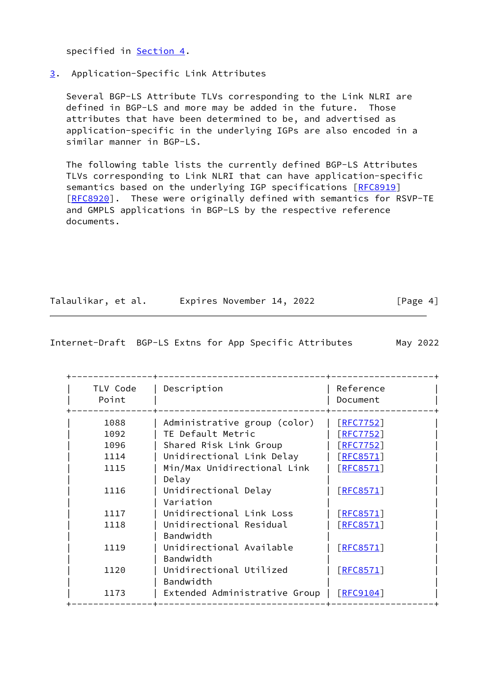specified in [Section 4](#page-5-0).

# <span id="page-4-0"></span>[3](#page-4-0). Application-Specific Link Attributes

 Several BGP-LS Attribute TLVs corresponding to the Link NLRI are defined in BGP-LS and more may be added in the future. Those attributes that have been determined to be, and advertised as application-specific in the underlying IGPs are also encoded in a similar manner in BGP-LS.

 The following table lists the currently defined BGP-LS Attributes TLVs corresponding to Link NLRI that can have application-specific semantics based on the underlying IGP specifications [\[RFC8919](https://datatracker.ietf.org/doc/pdf/rfc8919)] [\[RFC8920](https://datatracker.ietf.org/doc/pdf/rfc8920)]. These were originally defined with semantics for RSVP-TE and GMPLS applications in BGP-LS by the respective reference documents.

| Talaulikar, et al. | Expires November 14, 2022 | [Page 4] |
|--------------------|---------------------------|----------|
|--------------------|---------------------------|----------|

<span id="page-4-1"></span>Internet-Draft BGP-LS Extns for App Specific Attributes May 2022

| TLV Code<br>Point | Description                           | Reference<br>Document |
|-------------------|---------------------------------------|-----------------------|
| 1088              | Administrative group (color)          | [RT7752]              |
| 1092              | TE Default Metric                     | [RFC7752]             |
| 1096              | Shared Risk Link Group                | $[$ RFC7752]          |
| 1114              | Unidirectional Link Delay             | [REC8571]             |
| 1115              | Min/Max Unidirectional Link<br>Delay  | [REC8571]             |
| 1116              | Unidirectional Delay<br>Variation     | [RECS571]             |
| 1117              | Unidirectional Link Loss              | [REC8571]             |
| 1118              | Unidirectional Residual<br>Bandwidth  | [REC8571]             |
| 1119              | Unidirectional Available<br>Bandwidth | [RECS571]             |
| 1120              | Unidirectional Utilized<br>Bandwidth  | [REC8571]             |
| 1173              | Extended Administrative Group         | $\lceil$ RFC9104]     |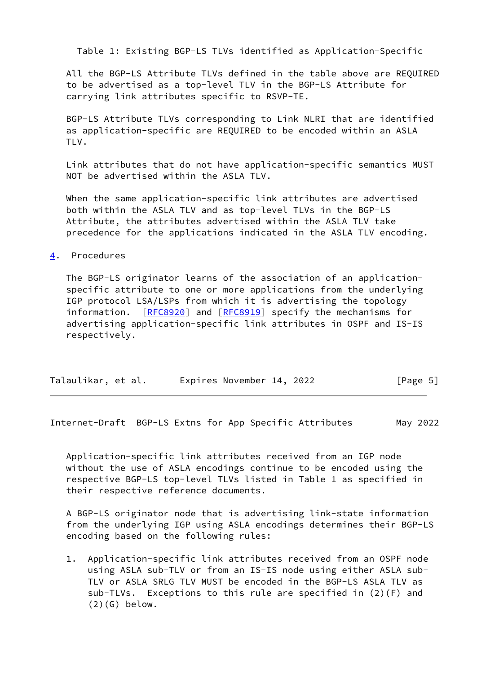Table 1: Existing BGP-LS TLVs identified as Application-Specific

 All the BGP-LS Attribute TLVs defined in the table above are REQUIRED to be advertised as a top-level TLV in the BGP-LS Attribute for carrying link attributes specific to RSVP-TE.

 BGP-LS Attribute TLVs corresponding to Link NLRI that are identified as application-specific are REQUIRED to be encoded within an ASLA TLV.

 Link attributes that do not have application-specific semantics MUST NOT be advertised within the ASLA TLV.

 When the same application-specific link attributes are advertised both within the ASLA TLV and as top-level TLVs in the BGP-LS Attribute, the attributes advertised within the ASLA TLV take precedence for the applications indicated in the ASLA TLV encoding.

<span id="page-5-0"></span>[4](#page-5-0). Procedures

 The BGP-LS originator learns of the association of an application specific attribute to one or more applications from the underlying IGP protocol LSA/LSPs from which it is advertising the topology information. [[RFC8920](https://datatracker.ietf.org/doc/pdf/rfc8920)] and [\[RFC8919](https://datatracker.ietf.org/doc/pdf/rfc8919)] specify the mechanisms for advertising application-specific link attributes in OSPF and IS-IS respectively.

| Talaulikar, et al.<br>[Page 5]<br>Expires November 14, 2022 |  |
|-------------------------------------------------------------|--|
|-------------------------------------------------------------|--|

Internet-Draft BGP-LS Extns for App Specific Attributes May 2022

 Application-specific link attributes received from an IGP node without the use of ASLA encodings continue to be encoded using the respective BGP-LS top-level TLVs listed in Table 1 as specified in their respective reference documents.

 A BGP-LS originator node that is advertising link-state information from the underlying IGP using ASLA encodings determines their BGP-LS encoding based on the following rules:

 1. Application-specific link attributes received from an OSPF node using ASLA sub-TLV or from an IS-IS node using either ASLA sub- TLV or ASLA SRLG TLV MUST be encoded in the BGP-LS ASLA TLV as sub-TLVs. Exceptions to this rule are specified in (2)(F) and  $(2)(G)$  below.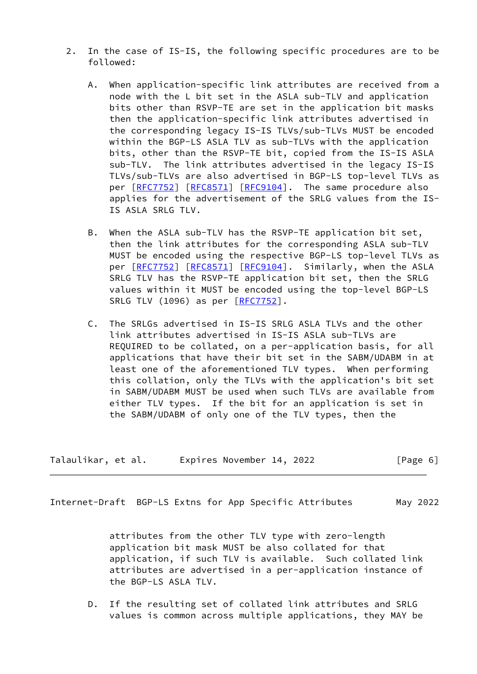- 2. In the case of IS-IS, the following specific procedures are to be followed:
	- A. When application-specific link attributes are received from a node with the L bit set in the ASLA sub-TLV and application bits other than RSVP-TE are set in the application bit masks then the application-specific link attributes advertised in the corresponding legacy IS-IS TLVs/sub-TLVs MUST be encoded within the BGP-LS ASLA TLV as sub-TLVs with the application bits, other than the RSVP-TE bit, copied from the IS-IS ASLA sub-TLV. The link attributes advertised in the legacy IS-IS TLVs/sub-TLVs are also advertised in BGP-LS top-level TLVs as per [\[RFC7752](https://datatracker.ietf.org/doc/pdf/rfc7752)] [[RFC8571](https://datatracker.ietf.org/doc/pdf/rfc8571)] [\[RFC9104](https://datatracker.ietf.org/doc/pdf/rfc9104)]. The same procedure also applies for the advertisement of the SRLG values from the IS- IS ASLA SRLG TLV.
	- B. When the ASLA sub-TLV has the RSVP-TE application bit set, then the link attributes for the corresponding ASLA sub-TLV MUST be encoded using the respective BGP-LS top-level TLVs as per [\[RFC7752](https://datatracker.ietf.org/doc/pdf/rfc7752)] [[RFC8571](https://datatracker.ietf.org/doc/pdf/rfc8571)] [\[RFC9104](https://datatracker.ietf.org/doc/pdf/rfc9104)]. Similarly, when the ASLA SRLG TLV has the RSVP-TE application bit set, then the SRLG values within it MUST be encoded using the top-level BGP-LS SRLG TLV (1096) as per [\[RFC7752](https://datatracker.ietf.org/doc/pdf/rfc7752)].
	- C. The SRLGs advertised in IS-IS SRLG ASLA TLVs and the other link attributes advertised in IS-IS ASLA sub-TLVs are REQUIRED to be collated, on a per-application basis, for all applications that have their bit set in the SABM/UDABM in at least one of the aforementioned TLV types. When performing this collation, only the TLVs with the application's bit set in SABM/UDABM MUST be used when such TLVs are available from either TLV types. If the bit for an application is set in the SABM/UDABM of only one of the TLV types, then the

| Talaulikar, et al. | Expires November 14, 2022 | [Page 6] |
|--------------------|---------------------------|----------|
|--------------------|---------------------------|----------|

 attributes from the other TLV type with zero-length application bit mask MUST be also collated for that application, if such TLV is available. Such collated link attributes are advertised in a per-application instance of the BGP-LS ASLA TLV.

 D. If the resulting set of collated link attributes and SRLG values is common across multiple applications, they MAY be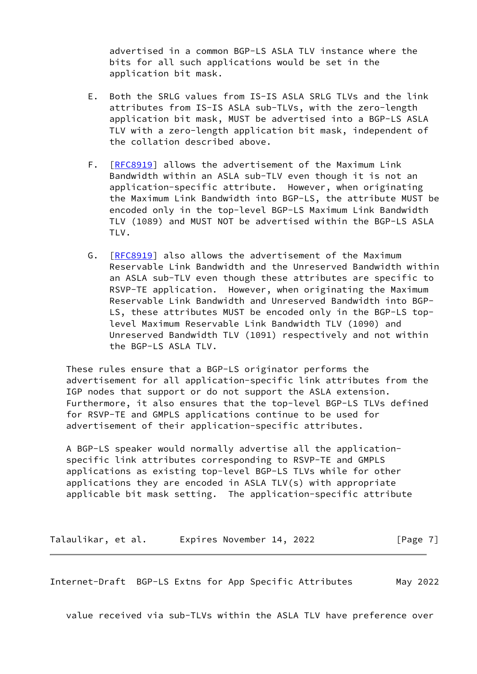advertised in a common BGP-LS ASLA TLV instance where the bits for all such applications would be set in the application bit mask.

- E. Both the SRLG values from IS-IS ASLA SRLG TLVs and the link attributes from IS-IS ASLA sub-TLVs, with the zero-length application bit mask, MUST be advertised into a BGP-LS ASLA TLV with a zero-length application bit mask, independent of the collation described above.
- F. [\[RFC8919](https://datatracker.ietf.org/doc/pdf/rfc8919)] allows the advertisement of the Maximum Link Bandwidth within an ASLA sub-TLV even though it is not an application-specific attribute. However, when originating the Maximum Link Bandwidth into BGP-LS, the attribute MUST be encoded only in the top-level BGP-LS Maximum Link Bandwidth TLV (1089) and MUST NOT be advertised within the BGP-LS ASLA TLV.
- G. [\[RFC8919](https://datatracker.ietf.org/doc/pdf/rfc8919)] also allows the advertisement of the Maximum Reservable Link Bandwidth and the Unreserved Bandwidth within an ASLA sub-TLV even though these attributes are specific to RSVP-TE application. However, when originating the Maximum Reservable Link Bandwidth and Unreserved Bandwidth into BGP- LS, these attributes MUST be encoded only in the BGP-LS top level Maximum Reservable Link Bandwidth TLV (1090) and Unreserved Bandwidth TLV (1091) respectively and not within the BGP-LS ASLA TLV.

 These rules ensure that a BGP-LS originator performs the advertisement for all application-specific link attributes from the IGP nodes that support or do not support the ASLA extension. Furthermore, it also ensures that the top-level BGP-LS TLVs defined for RSVP-TE and GMPLS applications continue to be used for advertisement of their application-specific attributes.

 A BGP-LS speaker would normally advertise all the application specific link attributes corresponding to RSVP-TE and GMPLS applications as existing top-level BGP-LS TLVs while for other applications they are encoded in ASLA TLV(s) with appropriate applicable bit mask setting. The application-specific attribute

Talaulikar, et al. Expires November 14, 2022 [Page 7]

<span id="page-7-0"></span>Internet-Draft BGP-LS Extns for App Specific Attributes May 2022

value received via sub-TLVs within the ASLA TLV have preference over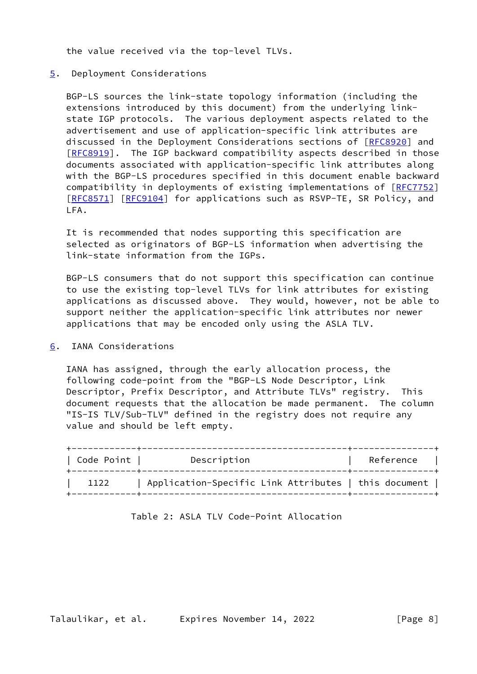the value received via the top-level TLVs.

## <span id="page-8-0"></span>[5](#page-8-0). Deployment Considerations

 BGP-LS sources the link-state topology information (including the extensions introduced by this document) from the underlying link state IGP protocols. The various deployment aspects related to the advertisement and use of application-specific link attributes are discussed in the Deployment Considerations sections of [\[RFC8920](https://datatracker.ietf.org/doc/pdf/rfc8920)] and [\[RFC8919](https://datatracker.ietf.org/doc/pdf/rfc8919)]. The IGP backward compatibility aspects described in those documents associated with application-specific link attributes along with the BGP-LS procedures specified in this document enable backward compatibility in deployments of existing implementations of [\[RFC7752](https://datatracker.ietf.org/doc/pdf/rfc7752)] [\[RFC8571](https://datatracker.ietf.org/doc/pdf/rfc8571)] [[RFC9104](https://datatracker.ietf.org/doc/pdf/rfc9104)] for applications such as RSVP-TE, SR Policy, and LFA.

 It is recommended that nodes supporting this specification are selected as originators of BGP-LS information when advertising the link-state information from the IGPs.

 BGP-LS consumers that do not support this specification can continue to use the existing top-level TLVs for link attributes for existing applications as discussed above. They would, however, not be able to support neither the application-specific link attributes nor newer applications that may be encoded only using the ASLA TLV.

<span id="page-8-1"></span>[6](#page-8-1). IANA Considerations

 IANA has assigned, through the early allocation process, the following code-point from the "BGP-LS Node Descriptor, Link Descriptor, Prefix Descriptor, and Attribute TLVs" registry. This document requests that the allocation be made permanent. The column "IS-IS TLV/Sub-TLV" defined in the registry does not require any value and should be left empty.

| Code Point | Description                                          | Reference |
|------------|------------------------------------------------------|-----------|
| 1122       | Application-Specific Link Attributes   this document |           |

|  |  | Table 2: ASLA TLV Code-Point Allocation |  |
|--|--|-----------------------------------------|--|
|--|--|-----------------------------------------|--|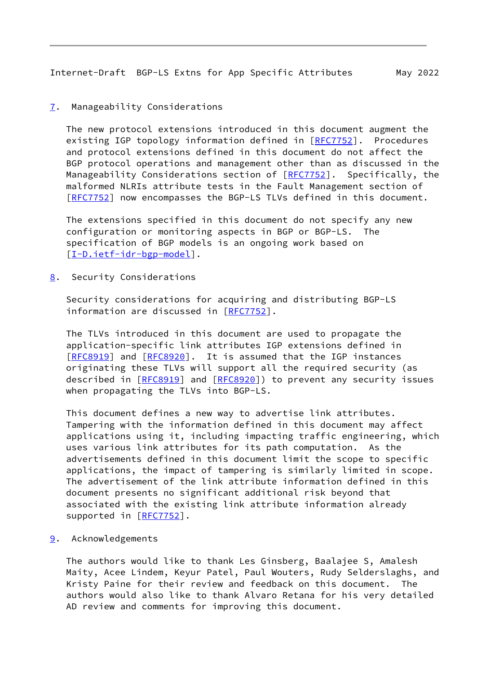## <span id="page-9-1"></span><span id="page-9-0"></span>[7](#page-9-0). Manageability Considerations

 The new protocol extensions introduced in this document augment the existing IGP topology information defined in [\[RFC7752](https://datatracker.ietf.org/doc/pdf/rfc7752)]. Procedures and protocol extensions defined in this document do not affect the BGP protocol operations and management other than as discussed in the Manageability Considerations section of [\[RFC7752](https://datatracker.ietf.org/doc/pdf/rfc7752)]. Specifically, the malformed NLRIs attribute tests in the Fault Management section of [\[RFC7752](https://datatracker.ietf.org/doc/pdf/rfc7752)] now encompasses the BGP-LS TLVs defined in this document.

 The extensions specified in this document do not specify any new configuration or monitoring aspects in BGP or BGP-LS. The specification of BGP models is an ongoing work based on [\[I-D.ietf-idr-bgp-model](#page-11-2)].

<span id="page-9-2"></span>[8](#page-9-2). Security Considerations

 Security considerations for acquiring and distributing BGP-LS information are discussed in [\[RFC7752](https://datatracker.ietf.org/doc/pdf/rfc7752)].

 The TLVs introduced in this document are used to propagate the application-specific link attributes IGP extensions defined in [\[RFC8919](https://datatracker.ietf.org/doc/pdf/rfc8919)] and [[RFC8920](https://datatracker.ietf.org/doc/pdf/rfc8920)]. It is assumed that the IGP instances originating these TLVs will support all the required security (as described in [\[RFC8919](https://datatracker.ietf.org/doc/pdf/rfc8919)] and [[RFC8920\]](https://datatracker.ietf.org/doc/pdf/rfc8920)) to prevent any security issues when propagating the TLVs into BGP-LS.

 This document defines a new way to advertise link attributes. Tampering with the information defined in this document may affect applications using it, including impacting traffic engineering, which uses various link attributes for its path computation. As the advertisements defined in this document limit the scope to specific applications, the impact of tampering is similarly limited in scope. The advertisement of the link attribute information defined in this document presents no significant additional risk beyond that associated with the existing link attribute information already supported in [\[RFC7752](https://datatracker.ietf.org/doc/pdf/rfc7752)].

<span id="page-9-3"></span>[9](#page-9-3). Acknowledgements

 The authors would like to thank Les Ginsberg, Baalajee S, Amalesh Maity, Acee Lindem, Keyur Patel, Paul Wouters, Rudy Selderslaghs, and Kristy Paine for their review and feedback on this document. The authors would also like to thank Alvaro Retana for his very detailed AD review and comments for improving this document.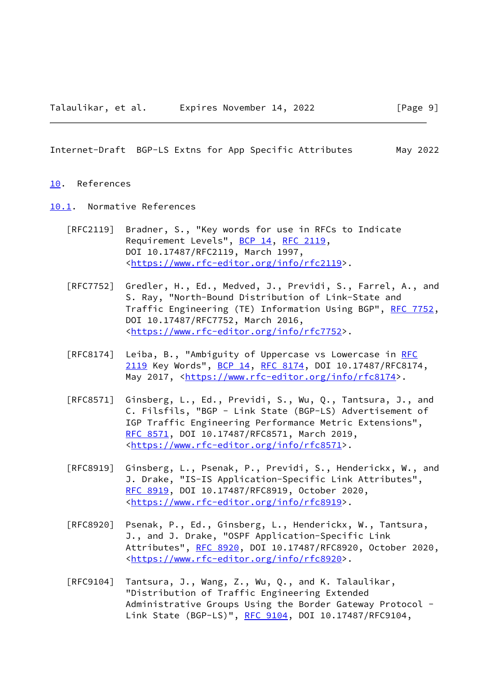#### <span id="page-10-1"></span><span id="page-10-0"></span>[10.](#page-10-0) References

<span id="page-10-2"></span>[10.1](#page-10-2). Normative References

- [RFC2119] Bradner, S., "Key words for use in RFCs to Indicate Requirement Levels", [BCP 14](https://datatracker.ietf.org/doc/pdf/bcp14), [RFC 2119](https://datatracker.ietf.org/doc/pdf/rfc2119), DOI 10.17487/RFC2119, March 1997, <[https://www.rfc-editor.org/info/rfc2119>](https://www.rfc-editor.org/info/rfc2119).
- [RFC7752] Gredler, H., Ed., Medved, J., Previdi, S., Farrel, A., and S. Ray, "North-Bound Distribution of Link-State and Traffic Engineering (TE) Information Using BGP", [RFC 7752,](https://datatracker.ietf.org/doc/pdf/rfc7752) DOI 10.17487/RFC7752, March 2016, <[https://www.rfc-editor.org/info/rfc7752>](https://www.rfc-editor.org/info/rfc7752).
- [RFC8174] Leiba, B., "Ambiguity of Uppercase vs Lowercase in [RFC](https://datatracker.ietf.org/doc/pdf/rfc2119) [2119](https://datatracker.ietf.org/doc/pdf/rfc2119) Key Words", [BCP 14](https://datatracker.ietf.org/doc/pdf/bcp14), [RFC 8174,](https://datatracker.ietf.org/doc/pdf/rfc8174) DOI 10.17487/RFC8174, May 2017, [<https://www.rfc-editor.org/info/rfc8174](https://www.rfc-editor.org/info/rfc8174)>.
- [RFC8571] Ginsberg, L., Ed., Previdi, S., Wu, Q., Tantsura, J., and C. Filsfils, "BGP - Link State (BGP-LS) Advertisement of IGP Traffic Engineering Performance Metric Extensions", [RFC 8571,](https://datatracker.ietf.org/doc/pdf/rfc8571) DOI 10.17487/RFC8571, March 2019, <[https://www.rfc-editor.org/info/rfc8571>](https://www.rfc-editor.org/info/rfc8571).
- [RFC8919] Ginsberg, L., Psenak, P., Previdi, S., Henderickx, W., and J. Drake, "IS-IS Application-Specific Link Attributes", [RFC 8919,](https://datatracker.ietf.org/doc/pdf/rfc8919) DOI 10.17487/RFC8919, October 2020, <[https://www.rfc-editor.org/info/rfc8919>](https://www.rfc-editor.org/info/rfc8919).
- [RFC8920] Psenak, P., Ed., Ginsberg, L., Henderickx, W., Tantsura, J., and J. Drake, "OSPF Application-Specific Link Attributes", [RFC 8920](https://datatracker.ietf.org/doc/pdf/rfc8920), DOI 10.17487/RFC8920, October 2020, <[https://www.rfc-editor.org/info/rfc8920>](https://www.rfc-editor.org/info/rfc8920).
- [RFC9104] Tantsura, J., Wang, Z., Wu, Q., and K. Talaulikar, "Distribution of Traffic Engineering Extended Administrative Groups Using the Border Gateway Protocol - Link State (BGP-LS)", [RFC 9104](https://datatracker.ietf.org/doc/pdf/rfc9104), DOI 10.17487/RFC9104,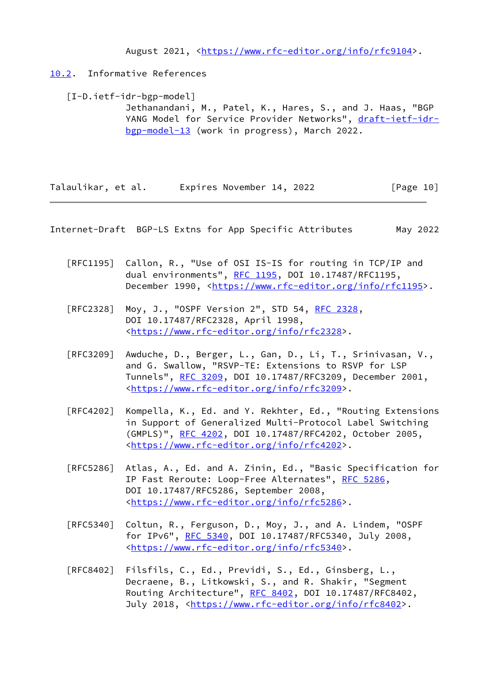August 2021, [<https://www.rfc-editor.org/info/rfc9104](https://www.rfc-editor.org/info/rfc9104)>.

## <span id="page-11-0"></span>[10.2](#page-11-0). Informative References

<span id="page-11-2"></span> [I-D.ietf-idr-bgp-model] Jethanandani, M., Patel, K., Hares, S., and J. Haas, "BGP YANG Model for Service Provider Networks", [draft-ietf-idr](https://datatracker.ietf.org/doc/pdf/draft-ietf-idr-bgp-model-13) [bgp-model-13](https://datatracker.ietf.org/doc/pdf/draft-ietf-idr-bgp-model-13) (work in progress), March 2022.

Talaulikar, et al. Expires November 14, 2022 [Page 10]

<span id="page-11-1"></span>Internet-Draft BGP-LS Extns for App Specific Attributes May 2022

- [RFC1195] Callon, R., "Use of OSI IS-IS for routing in TCP/IP and dual environments", [RFC 1195,](https://datatracker.ietf.org/doc/pdf/rfc1195) DOI 10.17487/RFC1195, December 1990, <<https://www.rfc-editor.org/info/rfc1195>>.
- [RFC2328] Moy, J., "OSPF Version 2", STD 54, [RFC 2328](https://datatracker.ietf.org/doc/pdf/rfc2328), DOI 10.17487/RFC2328, April 1998, <[https://www.rfc-editor.org/info/rfc2328>](https://www.rfc-editor.org/info/rfc2328).
- [RFC3209] Awduche, D., Berger, L., Gan, D., Li, T., Srinivasan, V., and G. Swallow, "RSVP-TE: Extensions to RSVP for LSP Tunnels", [RFC 3209](https://datatracker.ietf.org/doc/pdf/rfc3209), DOI 10.17487/RFC3209, December 2001, <[https://www.rfc-editor.org/info/rfc3209>](https://www.rfc-editor.org/info/rfc3209).
- [RFC4202] Kompella, K., Ed. and Y. Rekhter, Ed., "Routing Extensions in Support of Generalized Multi-Protocol Label Switching (GMPLS)", [RFC 4202](https://datatracker.ietf.org/doc/pdf/rfc4202), DOI 10.17487/RFC4202, October 2005, <[https://www.rfc-editor.org/info/rfc4202>](https://www.rfc-editor.org/info/rfc4202).
- [RFC5286] Atlas, A., Ed. and A. Zinin, Ed., "Basic Specification for IP Fast Reroute: Loop-Free Alternates", [RFC 5286,](https://datatracker.ietf.org/doc/pdf/rfc5286) DOI 10.17487/RFC5286, September 2008, <[https://www.rfc-editor.org/info/rfc5286>](https://www.rfc-editor.org/info/rfc5286).
- [RFC5340] Coltun, R., Ferguson, D., Moy, J., and A. Lindem, "OSPF for IPv6", [RFC 5340](https://datatracker.ietf.org/doc/pdf/rfc5340), DOI 10.17487/RFC5340, July 2008, <[https://www.rfc-editor.org/info/rfc5340>](https://www.rfc-editor.org/info/rfc5340).
- [RFC8402] Filsfils, C., Ed., Previdi, S., Ed., Ginsberg, L., Decraene, B., Litkowski, S., and R. Shakir, "Segment Routing Architecture", [RFC 8402](https://datatracker.ietf.org/doc/pdf/rfc8402), DOI 10.17487/RFC8402, July 2018, <<https://www.rfc-editor.org/info/rfc8402>>.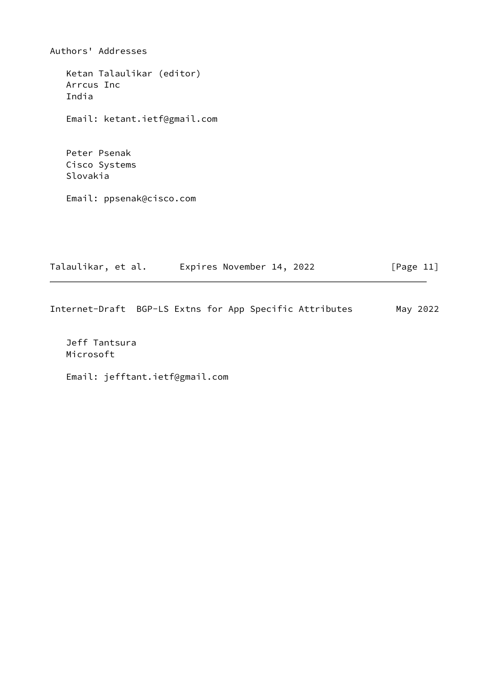Authors' Addresses Ketan Talaulikar (editor) Arrcus Inc India Email: ketant.ietf@gmail.com Peter Psenak Cisco Systems Slovakia Email: ppsenak@cisco.com

Talaulikar, et al. 
Expires November 14, 2022

[Page 11]

Internet-Draft BGP-LS Extns for App Specific Attributes May 2022

 Jeff Tantsura Microsoft

Email: jefftant.ietf@gmail.com